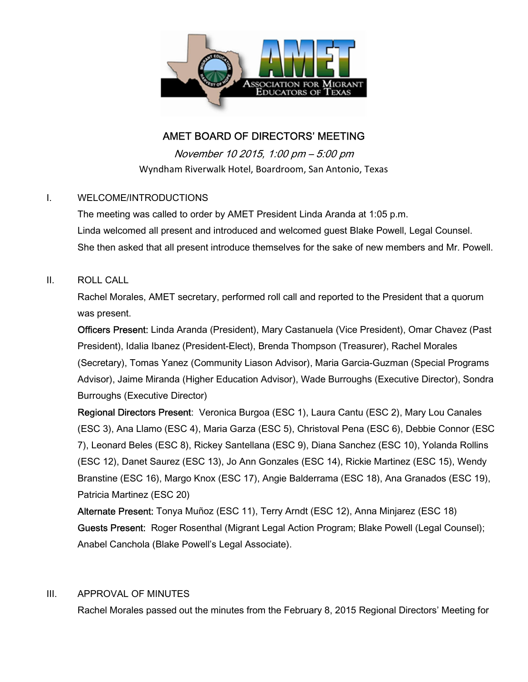

# AMET BOARD OF DIRECTORS' MEETING

November 10 2015, 1:00 pm – 5:00 pm Wyndham Riverwalk Hotel, Boardroom, San Antonio, Texas

### I. WELCOME/INTRODUCTIONS

The meeting was called to order by AMET President Linda Aranda at 1:05 p.m. Linda welcomed all present and introduced and welcomed guest Blake Powell, Legal Counsel. She then asked that all present introduce themselves for the sake of new members and Mr. Powell.

### II. ROLL CALL

Rachel Morales, AMET secretary, performed roll call and reported to the President that a quorum was present.

Officers Present: Linda Aranda (President), Mary Castanuela (Vice President), Omar Chavez (Past President), Idalia Ibanez (President-Elect), Brenda Thompson (Treasurer), Rachel Morales (Secretary), Tomas Yanez (Community Liason Advisor), Maria Garcia-Guzman (Special Programs Advisor), Jaime Miranda (Higher Education Advisor), Wade Burroughs (Executive Director), Sondra Burroughs (Executive Director)

Regional Directors Present: Veronica Burgoa (ESC 1), Laura Cantu (ESC 2), Mary Lou Canales (ESC 3), Ana Llamo (ESC 4), Maria Garza (ESC 5), Christoval Pena (ESC 6), Debbie Connor (ESC 7), Leonard Beles (ESC 8), Rickey Santellana (ESC 9), Diana Sanchez (ESC 10), Yolanda Rollins (ESC 12), Danet Saurez (ESC 13), Jo Ann Gonzales (ESC 14), Rickie Martinez (ESC 15), Wendy Branstine (ESC 16), Margo Knox (ESC 17), Angie Balderrama (ESC 18), Ana Granados (ESC 19), Patricia Martinez (ESC 20)

Alternate Present: Tonya Muñoz (ESC 11), Terry Arndt (ESC 12), Anna Minjarez (ESC 18) Guests Present: Roger Rosenthal (Migrant Legal Action Program; Blake Powell (Legal Counsel); Anabel Canchola (Blake Powell's Legal Associate).

## III. APPROVAL OF MINUTES

Rachel Morales passed out the minutes from the February 8, 2015 Regional Directors' Meeting for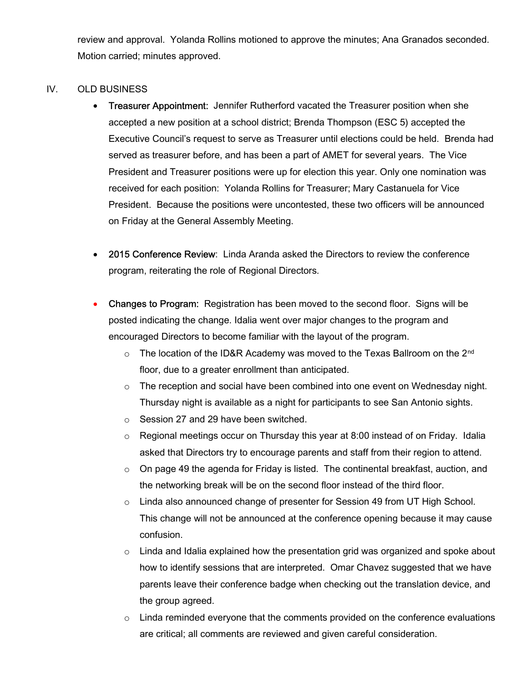review and approval. Yolanda Rollins motioned to approve the minutes; Ana Granados seconded. Motion carried; minutes approved.

#### IV. OLD BUSINESS

- Treasurer Appointment: Jennifer Rutherford vacated the Treasurer position when she accepted a new position at a school district; Brenda Thompson (ESC 5) accepted the Executive Council's request to serve as Treasurer until elections could be held. Brenda had served as treasurer before, and has been a part of AMET for several years. The Vice President and Treasurer positions were up for election this year. Only one nomination was received for each position: Yolanda Rollins for Treasurer; Mary Castanuela for Vice President. Because the positions were uncontested, these two officers will be announced on Friday at the General Assembly Meeting.
- 2015 Conference Review: Linda Aranda asked the Directors to review the conference program, reiterating the role of Regional Directors.
- Changes to Program: Registration has been moved to the second floor. Signs will be posted indicating the change. Idalia went over major changes to the program and encouraged Directors to become familiar with the layout of the program.
	- $\circ$  The location of the ID&R Academy was moved to the Texas Ballroom on the 2<sup>nd</sup> floor, due to a greater enrollment than anticipated.
	- $\circ$  The reception and social have been combined into one event on Wednesday night. Thursday night is available as a night for participants to see San Antonio sights.
	- o Session 27 and 29 have been switched.
	- $\circ$  Regional meetings occur on Thursday this year at 8:00 instead of on Friday. Idalia asked that Directors try to encourage parents and staff from their region to attend.
	- o On page 49 the agenda for Friday is listed. The continental breakfast, auction, and the networking break will be on the second floor instead of the third floor.
	- o Linda also announced change of presenter for Session 49 from UT High School. This change will not be announced at the conference opening because it may cause confusion.
	- $\circ$  Linda and Idalia explained how the presentation grid was organized and spoke about how to identify sessions that are interpreted. Omar Chavez suggested that we have parents leave their conference badge when checking out the translation device, and the group agreed.
	- $\circ$  Linda reminded everyone that the comments provided on the conference evaluations are critical; all comments are reviewed and given careful consideration.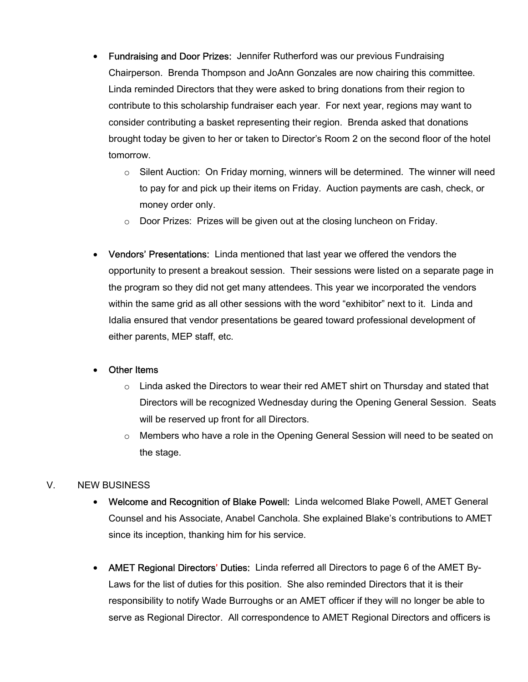- Fundraising and Door Prizes: Jennifer Rutherford was our previous Fundraising Chairperson. Brenda Thompson and JoAnn Gonzales are now chairing this committee. Linda reminded Directors that they were asked to bring donations from their region to contribute to this scholarship fundraiser each year. For next year, regions may want to consider contributing a basket representing their region. Brenda asked that donations brought today be given to her or taken to Director's Room 2 on the second floor of the hotel tomorrow.
	- $\circ$  Silent Auction: On Friday morning, winners will be determined. The winner will need to pay for and pick up their items on Friday. Auction payments are cash, check, or money order only.
	- o Door Prizes: Prizes will be given out at the closing luncheon on Friday.
- Vendors' Presentations: Linda mentioned that last year we offered the vendors the opportunity to present a breakout session. Their sessions were listed on a separate page in the program so they did not get many attendees. This year we incorporated the vendors within the same grid as all other sessions with the word "exhibitor" next to it. Linda and Idalia ensured that vendor presentations be geared toward professional development of either parents, MEP staff, etc.

#### Other Items

- $\circ$  Linda asked the Directors to wear their red AMET shirt on Thursday and stated that Directors will be recognized Wednesday during the Opening General Session. Seats will be reserved up front for all Directors.
- o Members who have a role in the Opening General Session will need to be seated on the stage.

## V. NEW BUSINESS

- Welcome and Recognition of Blake Powell: Linda welcomed Blake Powell, AMET General Counsel and his Associate, Anabel Canchola. She explained Blake's contributions to AMET since its inception, thanking him for his service.
- AMET Regional Directors' Duties: Linda referred all Directors to page 6 of the AMET By-Laws for the list of duties for this position. She also reminded Directors that it is their responsibility to notify Wade Burroughs or an AMET officer if they will no longer be able to serve as Regional Director. All correspondence to AMET Regional Directors and officers is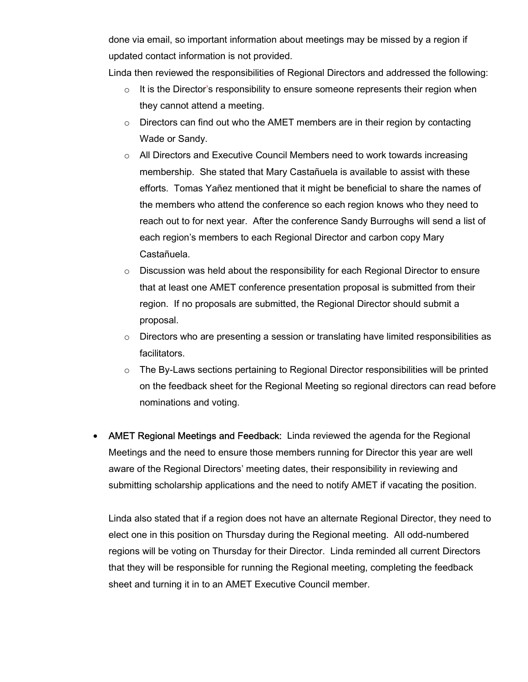done via email, so important information about meetings may be missed by a region if updated contact information is not provided.

Linda then reviewed the responsibilities of Regional Directors and addressed the following:

- $\circ$  It is the Director's responsibility to ensure someone represents their region when they cannot attend a meeting.
- $\circ$  Directors can find out who the AMET members are in their region by contacting Wade or Sandy.
- $\circ$  All Directors and Executive Council Members need to work towards increasing membership. She stated that Mary Castañuela is available to assist with these efforts. Tomas Yañez mentioned that it might be beneficial to share the names of the members who attend the conference so each region knows who they need to reach out to for next year. After the conference Sandy Burroughs will send a list of each region's members to each Regional Director and carbon copy Mary Castañuela.
- $\circ$  Discussion was held about the responsibility for each Regional Director to ensure that at least one AMET conference presentation proposal is submitted from their region. If no proposals are submitted, the Regional Director should submit a proposal.
- $\circ$  Directors who are presenting a session or translating have limited responsibilities as facilitators.
- $\circ$  The By-Laws sections pertaining to Regional Director responsibilities will be printed on the feedback sheet for the Regional Meeting so regional directors can read before nominations and voting.
- AMET Regional Meetings and Feedback: Linda reviewed the agenda for the Regional Meetings and the need to ensure those members running for Director this year are well aware of the Regional Directors' meeting dates, their responsibility in reviewing and submitting scholarship applications and the need to notify AMET if vacating the position.

Linda also stated that if a region does not have an alternate Regional Director, they need to elect one in this position on Thursday during the Regional meeting. All odd-numbered regions will be voting on Thursday for their Director. Linda reminded all current Directors that they will be responsible for running the Regional meeting, completing the feedback sheet and turning it in to an AMET Executive Council member.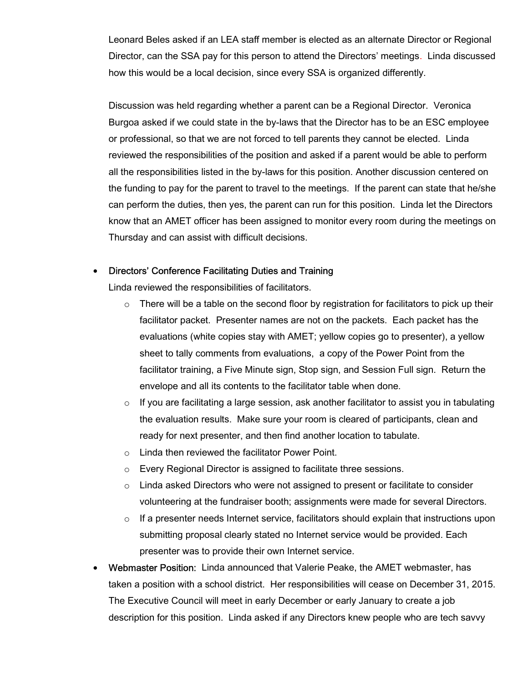Leonard Beles asked if an LEA staff member is elected as an alternate Director or Regional Director, can the SSA pay for this person to attend the Directors' meetings. Linda discussed how this would be a local decision, since every SSA is organized differently.

Discussion was held regarding whether a parent can be a Regional Director. Veronica Burgoa asked if we could state in the by-laws that the Director has to be an ESC employee or professional, so that we are not forced to tell parents they cannot be elected. Linda reviewed the responsibilities of the position and asked if a parent would be able to perform all the responsibilities listed in the by-laws for this position. Another discussion centered on the funding to pay for the parent to travel to the meetings. If the parent can state that he/she can perform the duties, then yes, the parent can run for this position. Linda let the Directors know that an AMET officer has been assigned to monitor every room during the meetings on Thursday and can assist with difficult decisions.

#### Directors' Conference Facilitating Duties and Training

Linda reviewed the responsibilities of facilitators.

- $\circ$  There will be a table on the second floor by registration for facilitators to pick up their facilitator packet. Presenter names are not on the packets. Each packet has the evaluations (white copies stay with AMET; yellow copies go to presenter), a yellow sheet to tally comments from evaluations, a copy of the Power Point from the facilitator training, a Five Minute sign, Stop sign, and Session Full sign. Return the envelope and all its contents to the facilitator table when done.
- $\circ$  If you are facilitating a large session, ask another facilitator to assist you in tabulating the evaluation results. Make sure your room is cleared of participants, clean and ready for next presenter, and then find another location to tabulate.
- o Linda then reviewed the facilitator Power Point.
- o Every Regional Director is assigned to facilitate three sessions.
- $\circ$  Linda asked Directors who were not assigned to present or facilitate to consider volunteering at the fundraiser booth; assignments were made for several Directors.
- $\circ$  If a presenter needs Internet service, facilitators should explain that instructions upon submitting proposal clearly stated no Internet service would be provided. Each presenter was to provide their own Internet service.
- Webmaster Position: Linda announced that Valerie Peake, the AMET webmaster, has taken a position with a school district. Her responsibilities will cease on December 31, 2015. The Executive Council will meet in early December or early January to create a job description for this position. Linda asked if any Directors knew people who are tech savvy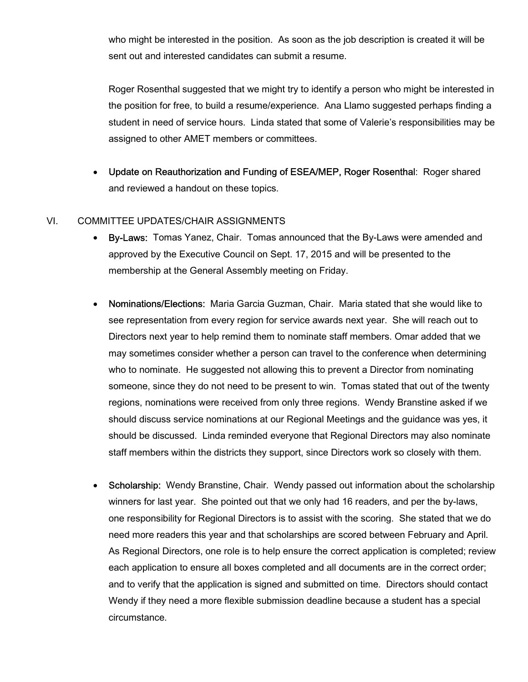who might be interested in the position. As soon as the job description is created it will be sent out and interested candidates can submit a resume.

Roger Rosenthal suggested that we might try to identify a person who might be interested in the position for free, to build a resume/experience. Ana Llamo suggested perhaps finding a student in need of service hours. Linda stated that some of Valerie's responsibilities may be assigned to other AMET members or committees.

 Update on Reauthorization and Funding of ESEA/MEP, Roger Rosenthal: Roger shared and reviewed a handout on these topics.

### VI. COMMITTEE UPDATES/CHAIR ASSIGNMENTS

- By-Laws: Tomas Yanez, Chair. Tomas announced that the By-Laws were amended and approved by the Executive Council on Sept. 17, 2015 and will be presented to the membership at the General Assembly meeting on Friday.
- Nominations/Elections: Maria Garcia Guzman, Chair. Maria stated that she would like to see representation from every region for service awards next year. She will reach out to Directors next year to help remind them to nominate staff members. Omar added that we may sometimes consider whether a person can travel to the conference when determining who to nominate. He suggested not allowing this to prevent a Director from nominating someone, since they do not need to be present to win. Tomas stated that out of the twenty regions, nominations were received from only three regions. Wendy Branstine asked if we should discuss service nominations at our Regional Meetings and the guidance was yes, it should be discussed. Linda reminded everyone that Regional Directors may also nominate staff members within the districts they support, since Directors work so closely with them.
- Scholarship: Wendy Branstine, Chair. Wendy passed out information about the scholarship winners for last year. She pointed out that we only had 16 readers, and per the by-laws, one responsibility for Regional Directors is to assist with the scoring. She stated that we do need more readers this year and that scholarships are scored between February and April. As Regional Directors, one role is to help ensure the correct application is completed; review each application to ensure all boxes completed and all documents are in the correct order; and to verify that the application is signed and submitted on time. Directors should contact Wendy if they need a more flexible submission deadline because a student has a special circumstance.